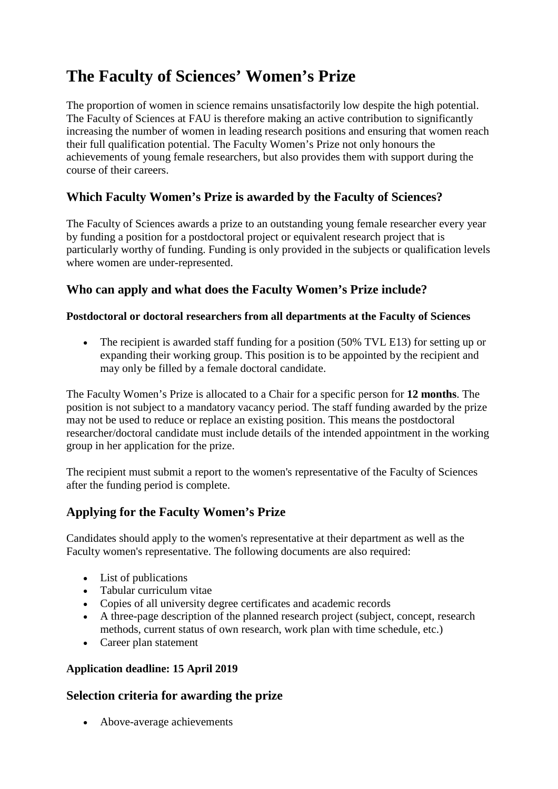# **The Faculty of Sciences' Women's Prize**

The proportion of women in science remains unsatisfactorily low despite the high potential. The Faculty of Sciences at FAU is therefore making an active contribution to significantly increasing the number of women in leading research positions and ensuring that women reach their full qualification potential. The Faculty Women's Prize not only honours the achievements of young female researchers, but also provides them with support during the course of their careers.

### **Which Faculty Women's Prize is awarded by the Faculty of Sciences?**

The Faculty of Sciences awards a prize to an outstanding young female researcher every year by funding a position for a postdoctoral project or equivalent research project that is particularly worthy of funding. Funding is only provided in the subjects or qualification levels where women are under-represented.

## **Who can apply and what does the Faculty Women's Prize include?**

#### **Postdoctoral or doctoral researchers from all departments at the Faculty of Sciences**

• The recipient is awarded staff funding for a position (50% TVL E13) for setting up or expanding their working group. This position is to be appointed by the recipient and may only be filled by a female doctoral candidate.

The Faculty Women's Prize is allocated to a Chair for a specific person for **12 months**. The position is not subject to a mandatory vacancy period. The staff funding awarded by the prize may not be used to reduce or replace an existing position. This means the postdoctoral researcher/doctoral candidate must include details of the intended appointment in the working group in her application for the prize.

The recipient must submit a report to the women's representative of the Faculty of Sciences after the funding period is complete.

# **Applying for the Faculty Women's Prize**

Candidates should apply to the women's representative at their department as well as the Faculty women's representative. The following documents are also required:

- List of publications
- Tabular curriculum vitae
- Copies of all university degree certificates and academic records
- A three-page description of the planned research project (subject, concept, research methods, current status of own research, work plan with time schedule, etc.)
- Career plan statement

#### **Application deadline: 15 April 2019**

### **Selection criteria for awarding the prize**

• Above-average achievements